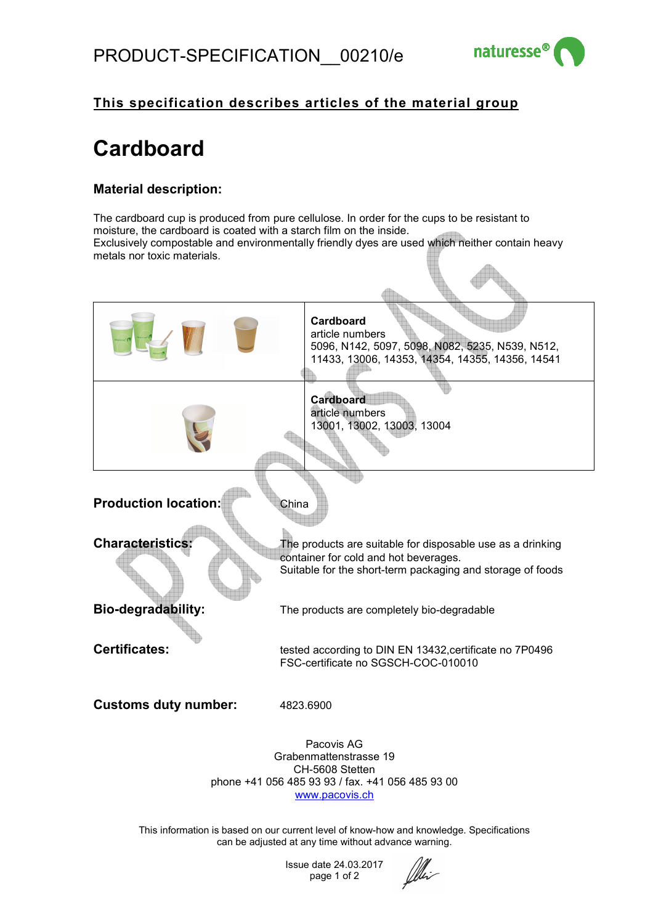

## **This specification describes articles of the material group**

# **Cardboard**

### **Material description:**

The cardboard cup is produced from pure cellulose. In order for the cups to be resistant to moisture, the cardboard is coated with a starch film on the inside. Exclusively compostable and environmentally friendly dyes are used which neither contain heavy metals nor toxic materials.



phone +41 056 485 93 93 / fax. +41 056 485 93 00 www.pacovis.ch

This information is based on our current level of know-how and knowledge. Specifications can be adjusted at any time without advance warning.